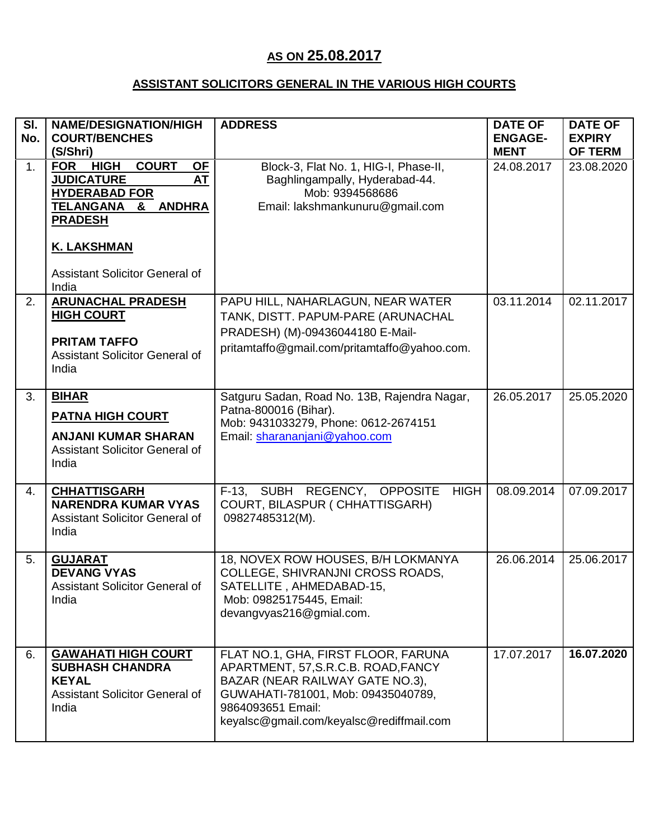## **AS ON 25.08.2017**

## **ASSISTANT SOLICITORS GENERAL IN THE VARIOUS HIGH COURTS**

| SI.<br>No. | <b>NAME/DESIGNATION/HIGH</b><br><b>COURT/BENCHES</b><br>(S/Shri)                                                                                                                                                                                      | <b>ADDRESS</b>                                                                                                                                                                                                       | <b>DATE OF</b><br><b>ENGAGE-</b><br><b>MENT</b> | <b>DATE OF</b><br><b>EXPIRY</b><br><b>OF TERM</b> |
|------------|-------------------------------------------------------------------------------------------------------------------------------------------------------------------------------------------------------------------------------------------------------|----------------------------------------------------------------------------------------------------------------------------------------------------------------------------------------------------------------------|-------------------------------------------------|---------------------------------------------------|
| 1.         | <b>HIGH</b><br><b>COURT</b><br><b>FOR</b><br><b>OF</b><br><b>JUDICATURE</b><br><b>AT</b><br><b>HYDERABAD FOR</b><br><b>TELANGANA</b><br><b>&amp; ANDHRA</b><br><b>PRADESH</b><br><b>K. LAKSHMAN</b><br><b>Assistant Solicitor General of</b><br>India | Block-3, Flat No. 1, HIG-I, Phase-II,<br>Baghlingampally, Hyderabad-44.<br>Mob: 9394568686<br>Email: lakshmankunuru@gmail.com                                                                                        | 24.08.2017                                      | 23.08.2020                                        |
| 2.         | <b>ARUNACHAL PRADESH</b><br><b>HIGH COURT</b><br><b>PRITAM TAFFO</b><br><b>Assistant Solicitor General of</b><br>India                                                                                                                                | PAPU HILL, NAHARLAGUN, NEAR WATER<br>TANK, DISTT. PAPUM-PARE (ARUNACHAL<br>PRADESH) (M)-09436044180 E-Mail-<br>pritamtaffo@gmail.com/pritamtaffo@yahoo.com.                                                          | 03.11.2014                                      | 02.11.2017                                        |
| 3.         | <b>BIHAR</b><br><b>PATNA HIGH COURT</b><br><b>ANJANI KUMAR SHARAN</b><br><b>Assistant Solicitor General of</b><br>India                                                                                                                               | Satguru Sadan, Road No. 13B, Rajendra Nagar,<br>Patna-800016 (Bihar).<br>Mob: 9431033279, Phone: 0612-2674151<br>Email: sharananjani@yahoo.com                                                                       | 26.05.2017                                      | 25.05.2020                                        |
| 4.         | <b>CHHATTISGARH</b><br><b>NARENDRA KUMAR VYAS</b><br><b>Assistant Solicitor General of</b><br>India                                                                                                                                                   | F-13, SUBH REGENCY, OPPOSITE<br><b>HIGH</b><br>COURT, BILASPUR ( CHHATTISGARH)<br>09827485312(M).                                                                                                                    | 08.09.2014                                      | 07.09.2017                                        |
| 5.         | <b>GUJARAT</b><br><b>DEVANG VYAS</b><br>Assistant Solicitor General of<br>India                                                                                                                                                                       | 18, NOVEX ROW HOUSES, B/H LOKMANYA<br>COLLEGE, SHIVRANJNI CROSS ROADS,<br>SATELLITE, AHMEDABAD-15,<br>Mob: 09825175445, Email:<br>devangvyas216@gmial.com.                                                           | 26.06.2014                                      | 25.06.2017                                        |
| 6.         | <b>GAWAHATI HIGH COURT</b><br><b>SUBHASH CHANDRA</b><br><b>KEYAL</b><br><b>Assistant Solicitor General of</b><br>India                                                                                                                                | FLAT NO.1, GHA, FIRST FLOOR, FARUNA<br>APARTMENT, 57, S.R.C.B. ROAD, FANCY<br>BAZAR (NEAR RAILWAY GATE NO.3),<br>GUWAHATI-781001, Mob: 09435040789,<br>9864093651 Email:<br>keyalsc@gmail.com/keyalsc@rediffmail.com | 17.07.2017                                      | 16.07.2020                                        |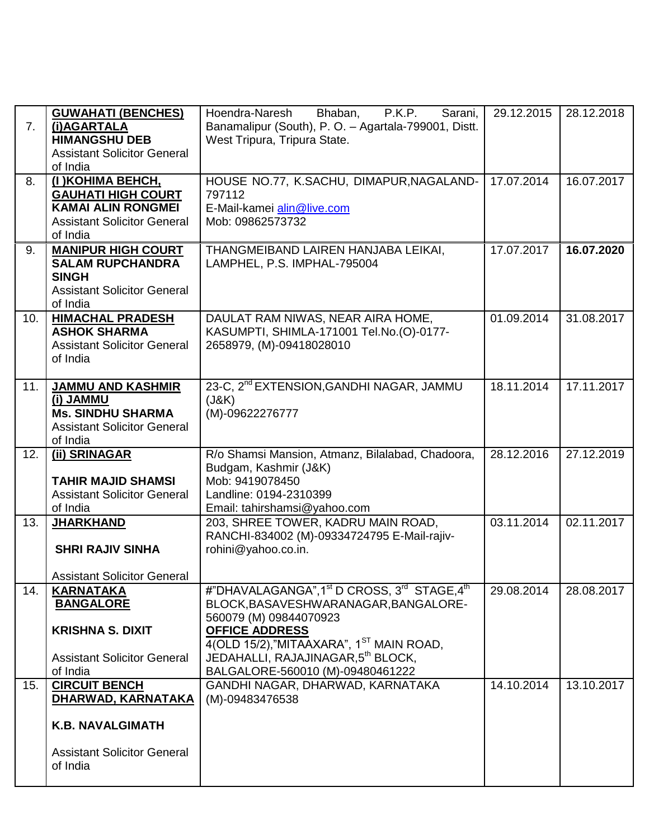| 7.  | <b>GUWAHATI (BENCHES)</b><br>(i)AGARTALA<br><b>HIMANGSHU DEB</b><br><b>Assistant Solicitor General</b><br>of India            | Bhaban,<br>P.K.P.<br>Sarani,<br>Hoendra-Naresh<br>Banamalipur (South), P. O. - Agartala-799001, Distt.<br>West Tripura, Tripura State.                                                                                                                                                          | 29.12.2015 | 28.12.2018 |
|-----|-------------------------------------------------------------------------------------------------------------------------------|-------------------------------------------------------------------------------------------------------------------------------------------------------------------------------------------------------------------------------------------------------------------------------------------------|------------|------------|
| 8.  | (I) KOHIMA BEHCH,<br><b>GAUHATI HIGH COURT</b><br><b>KAMAI ALIN RONGMEI</b><br><b>Assistant Solicitor General</b><br>of India | HOUSE NO.77, K.SACHU, DIMAPUR, NAGALAND-<br>797112<br>E-Mail-kamei alin@live.com<br>Mob: 09862573732                                                                                                                                                                                            | 17.07.2014 | 16.07.2017 |
| 9.  | <b>MANIPUR HIGH COURT</b><br><b>SALAM RUPCHANDRA</b><br><b>SINGH</b><br><b>Assistant Solicitor General</b><br>of India        | THANGMEIBAND LAIREN HANJABA LEIKAI,<br>LAMPHEL, P.S. IMPHAL-795004                                                                                                                                                                                                                              | 17.07.2017 | 16.07.2020 |
| 10. | <b>HIMACHAL PRADESH</b><br><b>ASHOK SHARMA</b><br><b>Assistant Solicitor General</b><br>of India                              | DAULAT RAM NIWAS, NEAR AIRA HOME,<br>KASUMPTI, SHIMLA-171001 Tel.No.(O)-0177-<br>2658979, (M)-09418028010                                                                                                                                                                                       | 01.09.2014 | 31.08.2017 |
| 11. | <b>JAMMU AND KASHMIR</b><br>(i) JAMMU<br><b>Ms. SINDHU SHARMA</b><br><b>Assistant Solicitor General</b><br>of India           | 23-C, 2 <sup>nd</sup> EXTENSION, GANDHI NAGAR, JAMMU<br>(J&K)<br>(M)-09622276777                                                                                                                                                                                                                | 18.11.2014 | 17.11.2017 |
| 12. | (ii) SRINAGAR<br><b>TAHIR MAJID SHAMSI</b><br><b>Assistant Solicitor General</b><br>of India                                  | R/o Shamsi Mansion, Atmanz, Bilalabad, Chadoora,<br>Budgam, Kashmir (J&K)<br>Mob: 9419078450<br>Landline: 0194-2310399<br>Email: tahirshamsi@yahoo.com                                                                                                                                          | 28.12.2016 | 27.12.2019 |
| 13. | <b>JHARKHAND</b><br><b>SHRI RAJIV SINHA</b><br><b>Assistant Solicitor General</b>                                             | 203, SHREE TOWER, KADRU MAIN ROAD,<br>RANCHI-834002 (M)-09334724795 E-Mail-rajiv-<br>rohini@yahoo.co.in.                                                                                                                                                                                        | 03.11.2014 | 02.11.2017 |
| 14. | <b>KARNATAKA</b><br><b>BANGALORE</b><br><b>KRISHNA S. DIXIT</b><br><b>Assistant Solicitor General</b><br>of India             | #"DHAVALAGANGA", 1 <sup>st</sup> D CROSS, 3 <sup>rd</sup> STAGE, 4 <sup>th</sup><br>BLOCK, BASAVESHWARANAGAR, BANGALORE-<br>560079 (M) 09844070923<br><b>OFFICE ADDRESS</b><br>4(OLD 15/2),"MITAAXARA", 1ST MAIN ROAD,<br>JEDAHALLI, RAJAJINAGAR,5th BLOCK,<br>BALGALORE-560010 (M)-09480461222 | 29.08.2014 | 28.08.2017 |
| 15. | <b>CIRCUIT BENCH</b><br>DHARWAD, KARNATAKA<br><b>K.B. NAVALGIMATH</b><br><b>Assistant Solicitor General</b><br>of India       | GANDHI NAGAR, DHARWAD, KARNATAKA<br>(M)-09483476538                                                                                                                                                                                                                                             | 14.10.2014 | 13.10.2017 |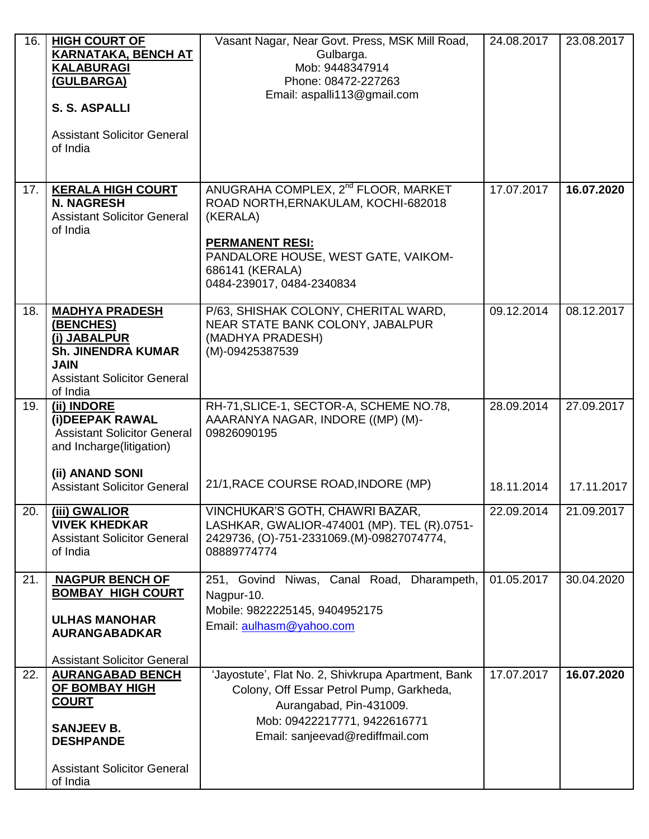| 16. | <b>HIGH COURT OF</b><br><b>KARNATAKA, BENCH AT</b><br><b>KALABURAGI</b><br>(GULBARGA)<br><b>S. S. ASPALLI</b><br><b>Assistant Solicitor General</b><br>of India | Vasant Nagar, Near Govt. Press, MSK Mill Road,<br>Gulbarga.<br>Mob: 9448347914<br>Phone: 08472-227263<br>Email: aspalli113@gmail.com                                                                                | 24.08.2017 | 23.08.2017 |
|-----|-----------------------------------------------------------------------------------------------------------------------------------------------------------------|---------------------------------------------------------------------------------------------------------------------------------------------------------------------------------------------------------------------|------------|------------|
| 17. | <b>KERALA HIGH COURT</b><br><b>N. NAGRESH</b><br><b>Assistant Solicitor General</b><br>of India                                                                 | ANUGRAHA COMPLEX, 2 <sup>nd</sup> FLOOR, MARKET<br>ROAD NORTH, ERNAKULAM, KOCHI-682018<br>(KERALA)<br><b>PERMANENT RESI:</b><br>PANDALORE HOUSE, WEST GATE, VAIKOM-<br>686141 (KERALA)<br>0484-239017, 0484-2340834 | 17.07.2017 | 16.07.2020 |
| 18. | <b>MADHYA PRADESH</b><br>(BENCHES)<br>(i) JABALPUR<br><b>Sh. JINENDRA KUMAR</b><br><b>JAIN</b><br><b>Assistant Solicitor General</b><br>of India                | P/63, SHISHAK COLONY, CHERITAL WARD,<br>NEAR STATE BANK COLONY, JABALPUR<br>(MADHYA PRADESH)<br>(M)-09425387539                                                                                                     | 09.12.2014 | 08.12.2017 |
| 19. | (ii) INDORE<br>(i) DEEPAK RAWAL<br><b>Assistant Solicitor General</b><br>and Incharge(litigation)<br>(ii) ANAND SONI                                            | RH-71, SLICE-1, SECTOR-A, SCHEME NO.78,<br>AAARANYA NAGAR, INDORE ((MP) (M)-<br>09826090195                                                                                                                         | 28.09.2014 | 27.09.2017 |
|     | <b>Assistant Solicitor General</b>                                                                                                                              | 21/1, RACE COURSE ROAD, INDORE (MP)                                                                                                                                                                                 | 18.11.2014 | 17.11.2017 |
| 20. | (iii) GWALIOR<br><b>VIVEK KHEDKAR</b><br><b>Assistant Solicitor General</b><br>of India                                                                         | VINCHUKAR'S GOTH, CHAWRI BAZAR,<br>LASHKAR, GWALIOR-474001 (MP). TEL (R).0751-<br>2429736, (O)-751-2331069.(M)-09827074774,<br>08889774774                                                                          | 22.09.2014 | 21.09.2017 |
| 21. | <b>NAGPUR BENCH OF</b><br><b>BOMBAY HIGH COURT</b><br><b>ULHAS MANOHAR</b><br><b>AURANGABADKAR</b><br><b>Assistant Solicitor General</b>                        | 251, Govind Niwas, Canal Road, Dharampeth,<br>Nagpur-10.<br>Mobile: 9822225145, 9404952175<br>Email: aulhasm@yahoo.com                                                                                              | 01.05.2017 | 30.04.2020 |
| 22. | <b>AURANGABAD BENCH</b><br><b>OF BOMBAY HIGH</b><br><b>COURT</b><br><b>SANJEEV B.</b><br><b>DESHPANDE</b><br><b>Assistant Solicitor General</b><br>of India     | 'Jayostute', Flat No. 2, Shivkrupa Apartment, Bank<br>Colony, Off Essar Petrol Pump, Garkheda,<br>Aurangabad, Pin-431009.<br>Mob: 09422217771, 9422616771<br>Email: sanjeevad@rediffmail.com                        | 17.07.2017 | 16.07.2020 |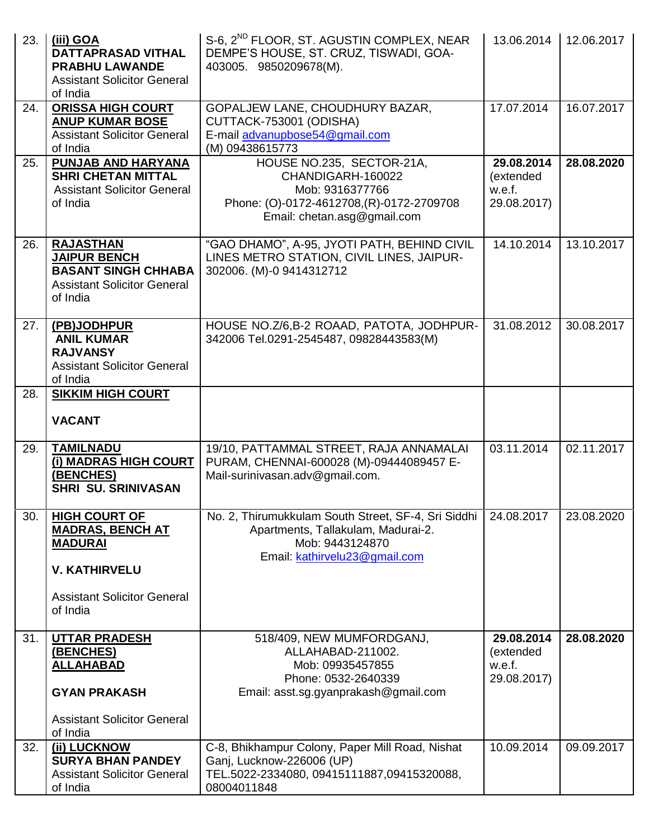| 23. | (iii) GOA<br><b>DATTAPRASAD VITHAL</b><br><b>PRABHU LAWANDE</b><br><b>Assistant Solicitor General</b><br>of India               | S-6, 2 <sup>ND</sup> FLOOR, ST. AGUSTIN COMPLEX, NEAR<br>DEMPE'S HOUSE, ST. CRUZ, TISWADI, GOA-<br>403005. 9850209678(M).                     | 13.06.2014                                       | 12.06.2017 |
|-----|---------------------------------------------------------------------------------------------------------------------------------|-----------------------------------------------------------------------------------------------------------------------------------------------|--------------------------------------------------|------------|
| 24. | <b>ORISSA HIGH COURT</b><br><b>ANUP KUMAR BOSE</b><br><b>Assistant Solicitor General</b><br>of India                            | GOPALJEW LANE, CHOUDHURY BAZAR,<br>CUTTACK-753001 (ODISHA)<br>E-mail advanupbose54@gmail.com<br>(M) 09438615773                               | 17.07.2014                                       | 16.07.2017 |
| 25. | PUNJAB AND HARYANA<br><b>SHRI CHETAN MITTAL</b><br><b>Assistant Solicitor General</b><br>of India                               | HOUSE NO.235, SECTOR-21A,<br>CHANDIGARH-160022<br>Mob: 9316377766<br>Phone: (O)-0172-4612708,(R)-0172-2709708<br>Email: chetan.asg@gmail.com  | 29.08.2014<br>(extended<br>w.e.f.<br>29.08.2017) | 28.08.2020 |
| 26. | <b>RAJASTHAN</b><br><b>JAIPUR BENCH</b><br><b>BASANT SINGH CHHABA</b><br><b>Assistant Solicitor General</b><br>of India         | "GAO DHAMO", A-95, JYOTI PATH, BEHIND CIVIL<br>LINES METRO STATION, CIVIL LINES, JAIPUR-<br>302006. (M)-0 9414312712                          | 14.10.2014                                       | 13.10.2017 |
| 27. | (PB)JODHPUR<br><b>ANIL KUMAR</b><br><b>RAJVANSY</b><br><b>Assistant Solicitor General</b><br>of India                           | HOUSE NO.Z/6,B-2 ROAAD, PATOTA, JODHPUR-<br>342006 Tel.0291-2545487, 09828443583(M)                                                           | 31.08.2012                                       | 30.08.2017 |
| 28. | <b>SIKKIM HIGH COURT</b><br><b>VACANT</b>                                                                                       |                                                                                                                                               |                                                  |            |
| 29. | <b>TAMILNADU</b><br>(i) MADRAS HIGH COURT<br>(BENCHES)<br><b>SHRI SU. SRINIVASAN</b>                                            | 19/10, PATTAMMAL STREET, RAJA ANNAMALAI<br>PURAM, CHENNAI-600028 (M)-09444089457 E-<br>Mail-surinivasan.adv@gmail.com.                        | 03.11.2014                                       | 02.11.2017 |
| 30. | <b>HIGH COURT OF</b><br><b>MADRAS, BENCH AT</b><br><b>MADURAI</b><br><b>V. KATHIRVELU</b><br><b>Assistant Solicitor General</b> | No. 2, Thirumukkulam South Street, SF-4, Sri Siddhi<br>Apartments, Tallakulam, Madurai-2.<br>Mob: 9443124870<br>Email: kathirvelu23@gmail.com | 24.08.2017                                       | 23.08.2020 |
|     | of India                                                                                                                        |                                                                                                                                               |                                                  |            |
| 31. | <b>UTTAR PRADESH</b><br>(BENCHES)<br><b>ALLAHABAD</b><br><b>GYAN PRAKASH</b>                                                    | 518/409, NEW MUMFORDGANJ,<br>ALLAHABAD-211002.<br>Mob: 09935457855<br>Phone: 0532-2640339<br>Email: asst.sg.gyanprakash@gmail.com             | 29.08.2014<br>(extended<br>w.e.f.<br>29.08.2017) | 28.08.2020 |
|     | <b>Assistant Solicitor General</b><br>of India                                                                                  |                                                                                                                                               |                                                  |            |
| 32. | (ii) LUCKNOW<br><b>SURYA BHAN PANDEY</b><br><b>Assistant Solicitor General</b><br>of India                                      | C-8, Bhikhampur Colony, Paper Mill Road, Nishat<br>Ganj, Lucknow-226006 (UP)<br>TEL.5022-2334080, 09415111887,09415320088,<br>08004011848     | 10.09.2014                                       | 09.09.2017 |